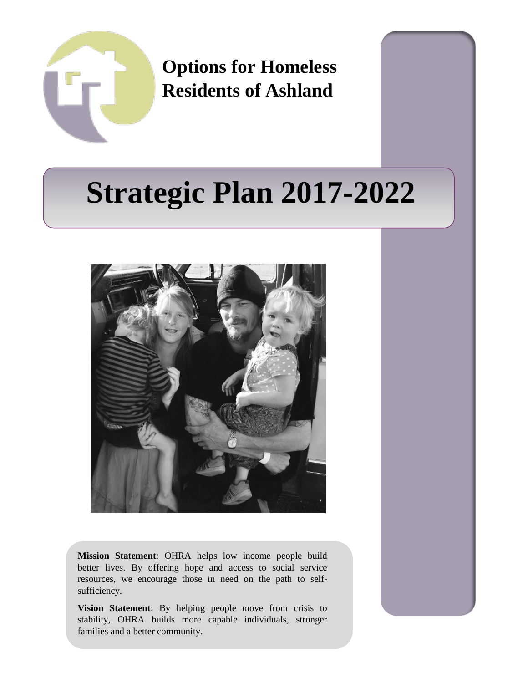

**Options for Homeless Residents of Ashland**

# **Strategic Plan 2017-2022**



**Mission Statement**: OHRA helps low income people build better lives. By offering hope and access to social service resources, we encourage those in need on the path to selfsufficiency.

**Vision Statement**: By helping people move from crisis to stability, OHRA builds more capable individuals, stronger families and a better community.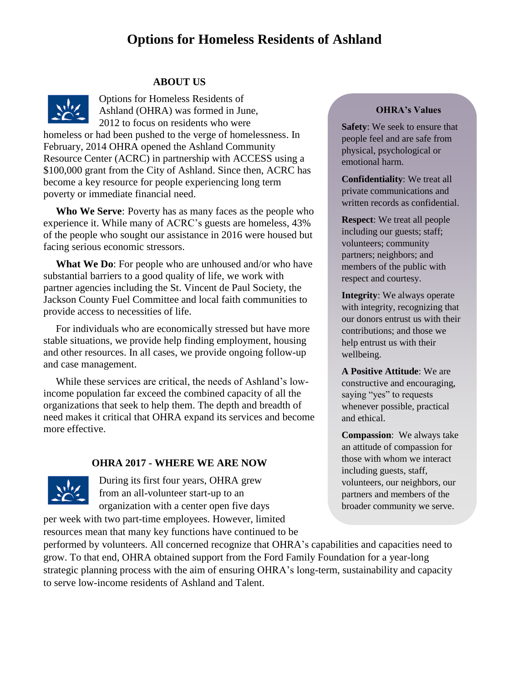# **Options for Homeless Residents of Ashland**

#### **ABOUT US**



Options for Homeless Residents of Ashland (OHRA) was formed in June, 2012 to focus on residents who were

homeless or had been pushed to the verge of homelessness. In February, 2014 OHRA opened the Ashland Community Resource Center (ACRC) in partnership with ACCESS using a \$100,000 grant from the City of Ashland. Since then, ACRC has become a key resource for people experiencing long term poverty or immediate financial need.

**Who We Serve**: Poverty has as many faces as the people who experience it. While many of ACRC's guests are homeless, 43% of the people who sought our assistance in 2016 were housed but facing serious economic stressors.

**What We Do**: For people who are unhoused and/or who have substantial barriers to a good quality of life, we work with partner agencies including the St. Vincent de Paul Society, the Jackson County Fuel Committee and local faith communities to provide access to necessities of life.

For individuals who are economically stressed but have more stable situations, we provide help finding employment, housing and other resources. In all cases, we provide ongoing follow-up and case management.

While these services are critical, the needs of Ashland's lowincome population far exceed the combined capacity of all the organizations that seek to help them. The depth and breadth of need makes it critical that OHRA expand its services and become more effective.

#### **OHRA 2017 - WHERE WE ARE NOW**



During its first four years, OHRA grew from an all-volunteer start-up to an organization with a center open five days

per week with two part-time employees. However, limited resources mean that many key functions have continued to be

#### **OHRA's Values**

**Safety**: We seek to ensure that people feel and are safe from physical, psychological or emotional harm.

**Confidentiality**: We treat all private communications and written records as confidential.

**Respect**: We treat all people including our guests; staff; volunteers; community partners; neighbors; and members of the public with respect and courtesy.

**Integrity**: We always operate with integrity, recognizing that our donors entrust us with their contributions; and those we help entrust us with their wellbeing.

**A Positive Attitude**: We are constructive and encouraging, saying "yes" to requests whenever possible, practical and ethical.

**Compassion**: We always take an attitude of compassion for those with whom we interact including guests, staff, volunteers, our neighbors, our partners and members of the broader community we serve.

performed by volunteers. All concerned recognize that OHRA's capabilities and capacities need to grow. To that end, OHRA obtained support from the Ford Family Foundation for a year-long strategic planning process with the aim of ensuring OHRA's long-term, sustainability and capacity to serve low-income residents of Ashland and Talent.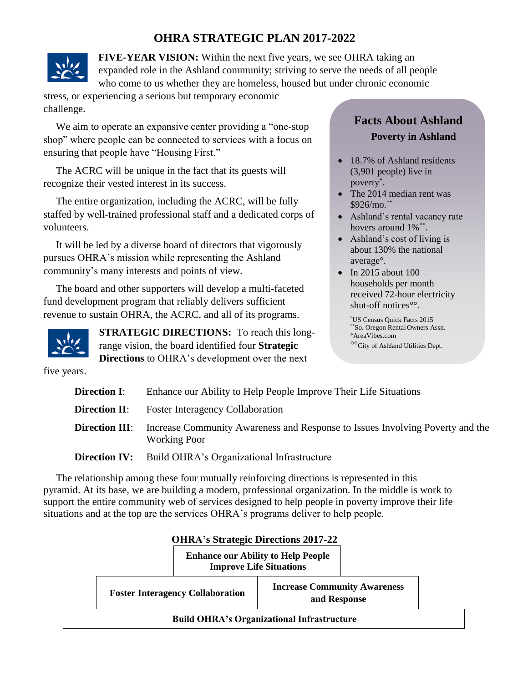### **OHRA STRATEGIC PLAN 2017-2022**



**FIVE-YEAR VISION:** Within the next five years, we see OHRA taking an expanded role in the Ashland community; striving to serve the needs of all people who come to us whether they are homeless, housed but under chronic economic

stress, or experiencing a serious but temporary economic challenge.

We aim to operate an expansive center providing a "one-stop shop" where people can be connected to services with a focus on ensuring that people have "Housing First."

The ACRC will be unique in the fact that its guests will recognize their vested interest in its success.

The entire organization, including the ACRC, will be fully staffed by well-trained professional staff and a dedicated corps of volunteers.

It will be led by a diverse board of directors that vigorously pursues OHRA's mission while representing the Ashland community's many interests and points of view.

The board and other supporters will develop a multi-faceted fund development program that reliably delivers sufficient revenue to sustain OHRA, the ACRC, and all of its programs.



**STRATEGIC DIRECTIONS:** To reach this longrange vision, the board identified four **Strategic Directions** to OHRA's development over the next

# **Facts About Ashland Poverty in Ashland**

- 18.7% of Ashland residents (3,901 people) live in poverty\* .
- The 2014 median rent was  $$926/mo.$ \*\*
- Ashland's rental vacancy rate hovers around  $1\%$ <sup>\*\*</sup>.
- Ashland's cost of living is about 130% the national average°.
- In 2015 about 100 households per month received 72-hour electricity shut-off notices°°.

\*US Census Quick Facts 2015 \*\*So. Oregon Rental Owners Assn. °AreaVibes.com °°City of Ashland Utilities Dept.

five years.

| <b>Direction I</b> :  | Enhance our Ability to Help People Improve Their Life Situations                                     |  |  |  |  |
|-----------------------|------------------------------------------------------------------------------------------------------|--|--|--|--|
| <b>Direction II</b> : | <b>Foster Interagency Collaboration</b>                                                              |  |  |  |  |
| <b>Direction III:</b> | Increase Community Awareness and Response to Issues Involving Poverty and the<br><b>Working Poor</b> |  |  |  |  |
| <b>Direction IV:</b>  | Build OHRA's Organizational Infrastructure                                                           |  |  |  |  |

The relationship among these four mutually reinforcing directions is represented in this pyramid. At its base, we are building a modern, professional organization. In the middle is work to support the entire community web of services designed to help people in poverty improve their life situations and at the top are the services OHRA's programs deliver to help people.

|                                                   |  | <b>OHRA's Strategic Directions 2017-22</b> | <b>Enhance our Ability to Help People</b>                                             |  |  |  |  |
|---------------------------------------------------|--|--------------------------------------------|---------------------------------------------------------------------------------------|--|--|--|--|
| <b>Foster Interagency Collaboration</b>           |  |                                            | <b>Improve Life Situations</b><br><b>Increase Community Awareness</b><br>and Response |  |  |  |  |
| <b>Build OHRA's Organizational Infrastructure</b> |  |                                            |                                                                                       |  |  |  |  |